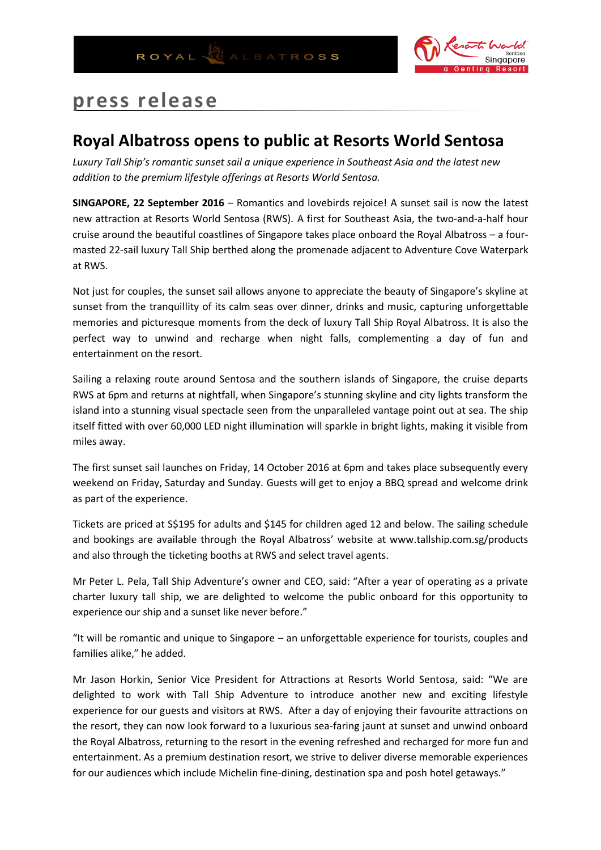

## **press release**

## **Royal Albatross opens to public at Resorts World Sentosa**

*Luxury Tall Ship's romantic sunset sail a unique experience in Southeast Asia and the latest new addition to the premium lifestyle offerings at Resorts World Sentosa.*

**SINGAPORE, 22 September 2016** – Romantics and lovebirds rejoice! A sunset sail is now the latest new attraction at Resorts World Sentosa (RWS). A first for Southeast Asia, the two-and-a-half hour cruise around the beautiful coastlines of Singapore takes place onboard the Royal Albatross – a fourmasted 22-sail luxury Tall Ship berthed along the promenade adjacent to Adventure Cove Waterpark at RWS.

Not just for couples, the sunset sail allows anyone to appreciate the beauty of Singapore's skyline at sunset from the tranquillity of its calm seas over dinner, drinks and music, capturing unforgettable memories and picturesque moments from the deck of luxury Tall Ship Royal Albatross. It is also the perfect way to unwind and recharge when night falls, complementing a day of fun and entertainment on the resort.

Sailing a relaxing route around Sentosa and the southern islands of Singapore, the cruise departs RWS at 6pm and returns at nightfall, when Singapore's stunning skyline and city lights transform the island into a stunning visual spectacle seen from the unparalleled vantage point out at sea. The ship itself fitted with over 60,000 LED night illumination will sparkle in bright lights, making it visible from miles away.

The first sunset sail launches on Friday, 14 October 2016 at 6pm and takes place subsequently every weekend on Friday, Saturday and Sunday. Guests will get to enjoy a BBQ spread and welcome drink as part of the experience.

Tickets are priced at S\$195 for adults and \$145 for children aged 12 and below. The sailing schedule and bookings are available through the Royal Albatross' website at www.tallship.com.sg/products and also through the ticketing booths at RWS and select travel agents.

Mr Peter L. Pela, Tall Ship Adventure's owner and CEO, said: "After a year of operating as a private charter luxury tall ship, we are delighted to welcome the public onboard for this opportunity to experience our ship and a sunset like never before."

"It will be romantic and unique to Singapore – an unforgettable experience for tourists, couples and families alike," he added.

Mr Jason Horkin, Senior Vice President for Attractions at Resorts World Sentosa, said: "We are delighted to work with Tall Ship Adventure to introduce another new and exciting lifestyle experience for our guests and visitors at RWS. After a day of enjoying their favourite attractions on the resort, they can now look forward to a luxurious sea-faring jaunt at sunset and unwind onboard the Royal Albatross, returning to the resort in the evening refreshed and recharged for more fun and entertainment. As a premium destination resort, we strive to deliver diverse memorable experiences for our audiences which include Michelin fine-dining, destination spa and posh hotel getaways."